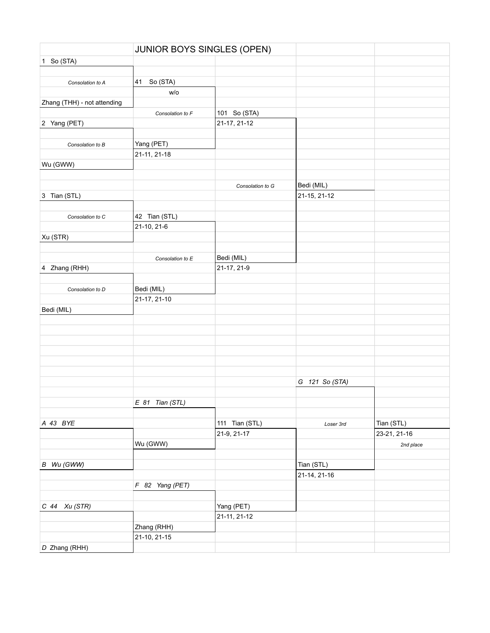| JUNIOR BOYS SINGLES (OPEN)  |                   |                  |                |              |
|-----------------------------|-------------------|------------------|----------------|--------------|
| 1 So (STA)                  |                   |                  |                |              |
|                             |                   |                  |                |              |
| Consolation to A            | So (STA)<br>41    |                  |                |              |
|                             | W/O               |                  |                |              |
| Zhang (THH) - not attending |                   |                  |                |              |
|                             | Consolation to F  | 101 So (STA)     |                |              |
| 2 Yang (PET)                |                   | 21-17, 21-12     |                |              |
|                             |                   |                  |                |              |
| Consolation to B            | Yang (PET)        |                  |                |              |
|                             | 21-11, 21-18      |                  |                |              |
| Wu (GWW)                    |                   |                  |                |              |
|                             |                   |                  |                |              |
|                             |                   | Consolation to G | Bedi (MIL)     |              |
| 3 Tian (STL)                |                   |                  | 21-15, 21-12   |              |
|                             |                   |                  |                |              |
| Consolation to C            | 42 Tian (STL)     |                  |                |              |
|                             | 21-10, 21-6       |                  |                |              |
| Xu (STR)                    |                   |                  |                |              |
|                             |                   |                  |                |              |
|                             | Consolation to E  | Bedi (MIL)       |                |              |
| 4 Zhang (RHH)               |                   | 21-17, 21-9      |                |              |
|                             |                   |                  |                |              |
| Consolation to D            | Bedi (MIL)        |                  |                |              |
|                             | 21-17, 21-10      |                  |                |              |
| Bedi (MIL)                  |                   |                  |                |              |
|                             |                   |                  |                |              |
|                             |                   |                  |                |              |
|                             |                   |                  |                |              |
|                             |                   |                  |                |              |
|                             |                   |                  |                |              |
|                             |                   |                  |                |              |
|                             |                   |                  | G 121 So (STA) |              |
|                             |                   |                  |                |              |
|                             | $E$ 81 Tian (STL) |                  |                |              |
|                             |                   |                  |                |              |
| A 43 BYE                    |                   | 111 Tian (STL)   | Loser 3rd      | Tian (STL)   |
|                             |                   | 21-9, 21-17      |                | 23-21, 21-16 |
|                             | Wu (GWW)          |                  |                | 2nd place    |
|                             |                   |                  |                |              |
| B Wu (GWW)                  |                   |                  | Tian (STL)     |              |
|                             |                   |                  | 21-14, 21-16   |              |
|                             | F 82 Yang (PET)   |                  |                |              |
|                             |                   |                  |                |              |
| $C$ 44 $Xu$ (STR)           |                   | Yang (PET)       |                |              |
|                             |                   | 21-11, 21-12     |                |              |
|                             | Zhang (RHH)       |                  |                |              |
|                             | 21-10, 21-15      |                  |                |              |
| D Zhang (RHH)               |                   |                  |                |              |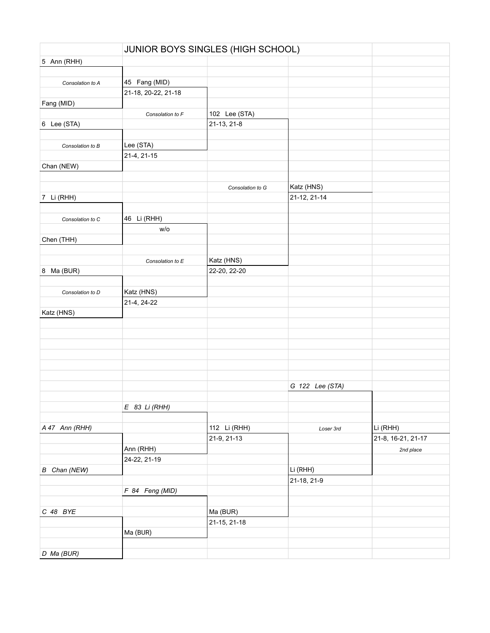|                     |                     | JUNIOR BOYS SINGLES (HIGH SCHOOL) |                 |                    |
|---------------------|---------------------|-----------------------------------|-----------------|--------------------|
| 5 Ann (RHH)         |                     |                                   |                 |                    |
|                     |                     |                                   |                 |                    |
| Consolation to A    | 45 Fang (MID)       |                                   |                 |                    |
|                     | 21-18, 20-22, 21-18 |                                   |                 |                    |
| Fang (MID)          |                     |                                   |                 |                    |
|                     | Consolation to F    | 102 Lee (STA)                     |                 |                    |
| 6 Lee (STA)         |                     | 21-13, 21-8                       |                 |                    |
|                     |                     |                                   |                 |                    |
| Consolation to B    | Lee (STA)           |                                   |                 |                    |
|                     | 21-4, 21-15         |                                   |                 |                    |
| Chan (NEW)          |                     |                                   |                 |                    |
|                     |                     |                                   |                 |                    |
|                     |                     | Consolation to G                  | Katz (HNS)      |                    |
| 7 Li (RHH)          |                     |                                   | 21-12, 21-14    |                    |
|                     |                     |                                   |                 |                    |
|                     | 46 Li (RHH)         |                                   |                 |                    |
| Consolation to C    | w/o                 |                                   |                 |                    |
|                     |                     |                                   |                 |                    |
| Chen (THH)          |                     |                                   |                 |                    |
|                     |                     |                                   |                 |                    |
|                     | Consolation to E    | Katz (HNS)                        |                 |                    |
| 8 Ma (BUR)          |                     | 22-20, 22-20                      |                 |                    |
|                     |                     |                                   |                 |                    |
| Consolation to D    | Katz (HNS)          |                                   |                 |                    |
|                     | 21-4, 24-22         |                                   |                 |                    |
| Katz (HNS)          |                     |                                   |                 |                    |
|                     |                     |                                   |                 |                    |
|                     |                     |                                   |                 |                    |
|                     |                     |                                   |                 |                    |
|                     |                     |                                   |                 |                    |
|                     |                     |                                   |                 |                    |
|                     |                     |                                   |                 |                    |
|                     |                     |                                   | G 122 Lee (STA) |                    |
|                     |                     |                                   |                 |                    |
|                     | $E$ 83 Li (RHH)     |                                   |                 |                    |
|                     |                     |                                   |                 |                    |
| A 47 Ann (RHH)      |                     | 112 Li (RHH)                      | Loser 3rd       | Li (RHH)           |
|                     |                     | 21-9, 21-13                       |                 | 21-8, 16-21, 21-17 |
|                     | Ann (RHH)           |                                   |                 | 2nd place          |
|                     | 24-22, 21-19        |                                   |                 |                    |
| <b>B</b> Chan (NEW) |                     |                                   | Li (RHH)        |                    |
|                     |                     |                                   | 21-18, 21-9     |                    |
|                     | F 84 Feng (MID)     |                                   |                 |                    |
|                     |                     |                                   |                 |                    |
| C 48 BYE            |                     | Ma (BUR)                          |                 |                    |
|                     |                     | 21-15, 21-18                      |                 |                    |
|                     | Ma (BUR)            |                                   |                 |                    |
|                     |                     |                                   |                 |                    |
|                     |                     |                                   |                 |                    |
| D Ma (BUR)          |                     |                                   |                 |                    |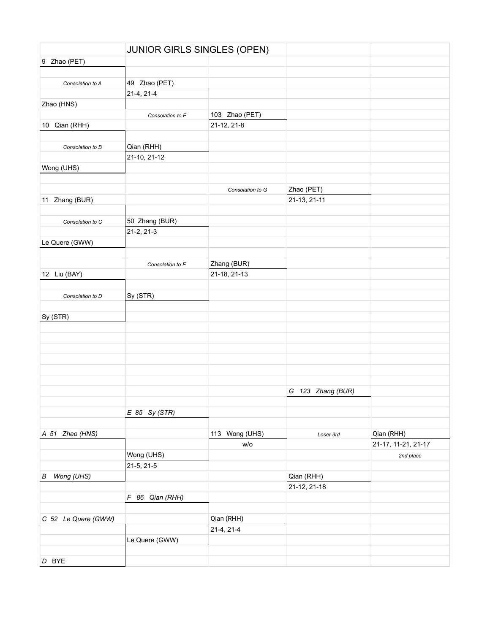|                     | JUNIOR GIRLS SINGLES (OPEN) |                  |                   |                     |
|---------------------|-----------------------------|------------------|-------------------|---------------------|
| 9 Zhao (PET)        |                             |                  |                   |                     |
|                     |                             |                  |                   |                     |
| Consolation to A    | 49 Zhao (PET)               |                  |                   |                     |
|                     | 21-4, 21-4                  |                  |                   |                     |
| Zhao (HNS)          |                             |                  |                   |                     |
|                     | Consolation to F            | 103 Zhao (PET)   |                   |                     |
| 10 Qian (RHH)       |                             | 21-12, 21-8      |                   |                     |
|                     |                             |                  |                   |                     |
| Consolation to B    | Qian (RHH)                  |                  |                   |                     |
|                     | 21-10, 21-12                |                  |                   |                     |
| Wong (UHS)          |                             |                  |                   |                     |
|                     |                             |                  |                   |                     |
|                     |                             | Consolation to G | Zhao (PET)        |                     |
| 11 Zhang (BUR)      |                             |                  | 21-13, 21-11      |                     |
|                     |                             |                  |                   |                     |
| Consolation to C    | 50 Zhang (BUR)              |                  |                   |                     |
|                     | 21-2, 21-3                  |                  |                   |                     |
| Le Quere (GWW)      |                             |                  |                   |                     |
|                     |                             |                  |                   |                     |
|                     | Consolation to E            | Zhang (BUR)      |                   |                     |
| 12 Liu (BAY)        |                             | 21-18, 21-13     |                   |                     |
|                     |                             |                  |                   |                     |
| Consolation to D    | Sy (STR)                    |                  |                   |                     |
|                     |                             |                  |                   |                     |
| Sy (STR)            |                             |                  |                   |                     |
|                     |                             |                  |                   |                     |
|                     |                             |                  |                   |                     |
|                     |                             |                  |                   |                     |
|                     |                             |                  |                   |                     |
|                     |                             |                  |                   |                     |
|                     |                             |                  |                   |                     |
|                     |                             |                  | G 123 Zhang (BUR) |                     |
|                     |                             |                  |                   |                     |
|                     | $E$ 85 Sy (STR)             |                  |                   |                     |
| A 51 Zhao (HNS)     |                             | 113 Wong (UHS)   |                   | Qian (RHH)          |
|                     |                             | W/O              | Loser 3rd         | 21-17, 11-21, 21-17 |
|                     | Wong (UHS)                  |                  |                   |                     |
|                     | 21-5, 21-5                  |                  |                   | 2nd place           |
| Wong (UHS)<br>В     |                             |                  | Qian (RHH)        |                     |
|                     |                             |                  | 21-12, 21-18      |                     |
|                     | F 86 Qian (RHH)             |                  |                   |                     |
|                     |                             |                  |                   |                     |
| C 52 Le Quere (GWW) |                             | Qian (RHH)       |                   |                     |
|                     |                             | 21-4, 21-4       |                   |                     |
|                     | Le Quere (GWW)              |                  |                   |                     |
|                     |                             |                  |                   |                     |
| D BYE               |                             |                  |                   |                     |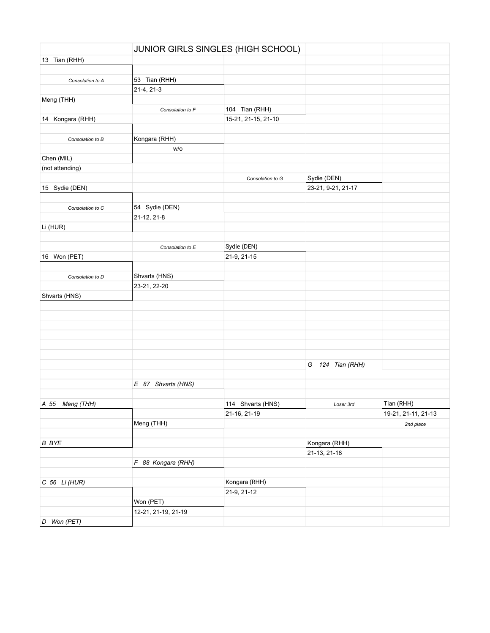|                  |                     | JUNIOR GIRLS SINGLES (HIGH SCHOOL) |                    |                     |
|------------------|---------------------|------------------------------------|--------------------|---------------------|
| 13 Tian (RHH)    |                     |                                    |                    |                     |
|                  |                     |                                    |                    |                     |
| Consolation to A | 53 Tian (RHH)       |                                    |                    |                     |
|                  | 21-4, 21-3          |                                    |                    |                     |
| Meng (THH)       |                     |                                    |                    |                     |
|                  | Consolation to F    | 104 Tian (RHH)                     |                    |                     |
| 14 Kongara (RHH) |                     | 15-21, 21-15, 21-10                |                    |                     |
|                  |                     |                                    |                    |                     |
| Consolation to B | Kongara (RHH)       |                                    |                    |                     |
|                  | W/O                 |                                    |                    |                     |
| Chen (MIL)       |                     |                                    |                    |                     |
| (not attending)  |                     |                                    |                    |                     |
|                  |                     | Consolation to G                   | Sydie (DEN)        |                     |
| 15 Sydie (DEN)   |                     |                                    | 23-21, 9-21, 21-17 |                     |
|                  |                     |                                    |                    |                     |
|                  | 54 Sydie (DEN)      |                                    |                    |                     |
| Consolation to C | 21-12, 21-8         |                                    |                    |                     |
|                  |                     |                                    |                    |                     |
| Li (HUR)         |                     |                                    |                    |                     |
|                  |                     |                                    |                    |                     |
|                  | Consolation to E    | Sydie (DEN)                        |                    |                     |
| 16 Won (PET)     |                     | 21-9, 21-15                        |                    |                     |
|                  |                     |                                    |                    |                     |
| Consolation to D | Shvarts (HNS)       |                                    |                    |                     |
|                  | 23-21, 22-20        |                                    |                    |                     |
| Shvarts (HNS)    |                     |                                    |                    |                     |
|                  |                     |                                    |                    |                     |
|                  |                     |                                    |                    |                     |
|                  |                     |                                    |                    |                     |
|                  |                     |                                    |                    |                     |
|                  |                     |                                    |                    |                     |
|                  |                     |                                    |                    |                     |
|                  |                     |                                    | G 124 Tian (RHH)   |                     |
|                  |                     |                                    |                    |                     |
|                  | E 87 Shvarts (HNS)  |                                    |                    |                     |
|                  |                     |                                    |                    |                     |
| A 55 Meng (THH)  |                     | 114 Shvarts (HNS)                  | Loser 3rd          | Tian (RHH)          |
|                  |                     | 21-16, 21-19                       |                    | 19-21, 21-11, 21-13 |
|                  | Meng (THH)          |                                    |                    | 2nd place           |
|                  |                     |                                    |                    |                     |
| <b>B</b> BYE     |                     |                                    | Kongara (RHH)      |                     |
|                  |                     |                                    | 21-13, 21-18       |                     |
|                  | F 88 Kongara (RHH)  |                                    |                    |                     |
|                  |                     |                                    |                    |                     |
| C 56 Li (HUR)    |                     | Kongara (RHH)                      |                    |                     |
|                  |                     | 21-9, 21-12                        |                    |                     |
|                  | Won (PET)           |                                    |                    |                     |
|                  |                     |                                    |                    |                     |
|                  | 12-21, 21-19, 21-19 |                                    |                    |                     |
| D Won (PET)      |                     |                                    |                    |                     |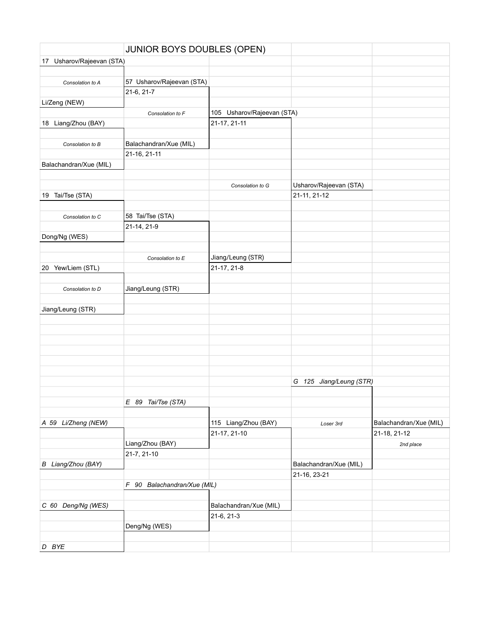|                           | JUNIOR BOYS DOUBLES (OPEN)  |                            |                         |                        |
|---------------------------|-----------------------------|----------------------------|-------------------------|------------------------|
| 17 Usharov/Rajeevan (STA) |                             |                            |                         |                        |
|                           |                             |                            |                         |                        |
| Consolation to A          | 57 Usharov/Rajeevan (STA)   |                            |                         |                        |
|                           | 21-6, 21-7                  |                            |                         |                        |
| Li/Zeng (NEW)             |                             |                            |                         |                        |
|                           | Consolation to F            | 105 Usharov/Rajeevan (STA) |                         |                        |
| 18 Liang/Zhou (BAY)       |                             | 21-17, 21-11               |                         |                        |
|                           |                             |                            |                         |                        |
| Consolation to B          | Balachandran/Xue (MIL)      |                            |                         |                        |
|                           | 21-16, 21-11                |                            |                         |                        |
| Balachandran/Xue (MIL)    |                             |                            |                         |                        |
|                           |                             |                            |                         |                        |
|                           |                             | Consolation to G           | Usharov/Rajeevan (STA)  |                        |
| 19 Tai/Tse (STA)          |                             |                            | 21-11, 21-12            |                        |
|                           |                             |                            |                         |                        |
| Consolation to C          | 58 Tai/Tse (STA)            |                            |                         |                        |
|                           | 21-14, 21-9                 |                            |                         |                        |
| Dong/Ng (WES)             |                             |                            |                         |                        |
|                           |                             |                            |                         |                        |
|                           | Consolation to E            | Jiang/Leung (STR)          |                         |                        |
| 20 Yew/Liem (STL)         |                             | 21-17, 21-8                |                         |                        |
|                           |                             |                            |                         |                        |
| Consolation to D          | Jiang/Leung (STR)           |                            |                         |                        |
|                           |                             |                            |                         |                        |
| Jiang/Leung (STR)         |                             |                            |                         |                        |
|                           |                             |                            |                         |                        |
|                           |                             |                            |                         |                        |
|                           |                             |                            |                         |                        |
|                           |                             |                            |                         |                        |
|                           |                             |                            |                         |                        |
|                           |                             |                            | G 125 Jiang/Leung (STR) |                        |
|                           |                             |                            |                         |                        |
|                           |                             |                            |                         |                        |
|                           | E 89 Tai/Tse (STA)          |                            |                         |                        |
| A 59 Li/Zheng (NEW)       |                             | 115 Liang/Zhou (BAY)       | Loser 3rd               | Balachandran/Xue (MIL) |
|                           |                             | 21-17, 21-10               |                         | 21-18, 21-12           |
|                           | Liang/Zhou (BAY)            |                            |                         | 2nd place              |
|                           | 21-7, 21-10                 |                            |                         |                        |
| B Liang/Zhou (BAY)        |                             |                            | Balachandran/Xue (MIL)  |                        |
|                           |                             |                            | 21-16, 23-21            |                        |
|                           | F 90 Balachandran/Xue (MIL) |                            |                         |                        |
|                           |                             |                            |                         |                        |
| C 60 Deng/Ng (WES)        |                             | Balachandran/Xue (MIL)     |                         |                        |
|                           |                             | 21-6, 21-3                 |                         |                        |
|                           | Deng/Ng (WES)               |                            |                         |                        |
|                           |                             |                            |                         |                        |
| D BYE                     |                             |                            |                         |                        |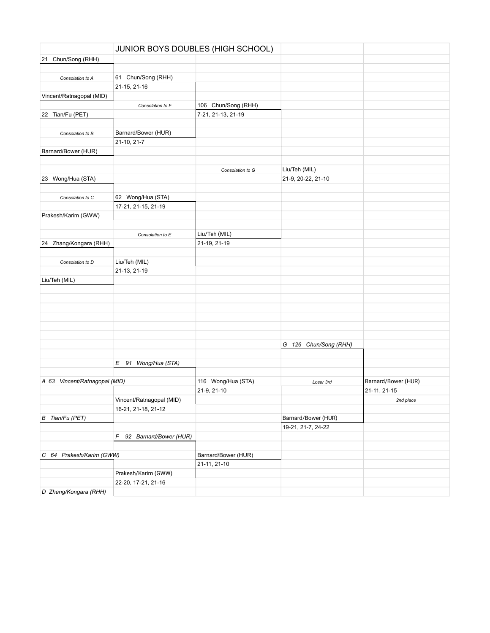|                               | JUNIOR BOYS DOUBLES (HIGH SCHOOL) |                     |                       |                     |
|-------------------------------|-----------------------------------|---------------------|-----------------------|---------------------|
| 21 Chun/Song (RHH)            |                                   |                     |                       |                     |
|                               |                                   |                     |                       |                     |
| Consolation to A              | 61 Chun/Song (RHH)                |                     |                       |                     |
|                               | 21-15, 21-16                      |                     |                       |                     |
| Vincent/Ratnagopal (MID)      |                                   |                     |                       |                     |
|                               | Consolation to F                  | 106 Chun/Song (RHH) |                       |                     |
| 22 Tian/Fu (PET)              |                                   | 7-21, 21-13, 21-19  |                       |                     |
|                               |                                   |                     |                       |                     |
| Consolation to B              | Barnard/Bower (HUR)               |                     |                       |                     |
|                               | 21-10, 21-7                       |                     |                       |                     |
| Barnard/Bower (HUR)           |                                   |                     |                       |                     |
|                               |                                   |                     |                       |                     |
|                               |                                   | Consolation to G    | Liu/Teh (MIL)         |                     |
| 23 Wong/Hua (STA)             |                                   |                     | 21-9, 20-22, 21-10    |                     |
|                               |                                   |                     |                       |                     |
| Consolation to C              | 62 Wong/Hua (STA)                 |                     |                       |                     |
|                               | 17-21, 21-15, 21-19               |                     |                       |                     |
| Prakesh/Karim (GWW)           |                                   |                     |                       |                     |
|                               |                                   |                     |                       |                     |
|                               |                                   | Liu/Teh (MIL)       |                       |                     |
| 24 Zhang/Kongara (RHH)        | Consolation to E                  | 21-19, 21-19        |                       |                     |
|                               |                                   |                     |                       |                     |
|                               | Liu/Teh (MIL)                     |                     |                       |                     |
| Consolation to D              | 21-13, 21-19                      |                     |                       |                     |
|                               |                                   |                     |                       |                     |
| Liu/Teh (MIL)                 |                                   |                     |                       |                     |
|                               |                                   |                     |                       |                     |
|                               |                                   |                     |                       |                     |
|                               |                                   |                     |                       |                     |
|                               |                                   |                     |                       |                     |
|                               |                                   |                     |                       |                     |
|                               |                                   |                     |                       |                     |
|                               |                                   |                     | G 126 Chun/Song (RHH) |                     |
|                               |                                   |                     |                       |                     |
|                               | E 91 Wong/Hua (STA)               |                     |                       |                     |
|                               |                                   |                     |                       |                     |
| A 63 Vincent/Ratnagopal (MID) |                                   | 116 Wong/Hua (STA)  | Loser 3rd             | Barnard/Bower (HUR) |
|                               |                                   | 21-9, 21-10         |                       | 21-11, 21-15        |
|                               | Vincent/Ratnagopal (MID)          |                     |                       | 2nd place           |
|                               | 16-21, 21-18, 21-12               |                     |                       |                     |
| B Tian/Fu (PET)               |                                   |                     | Barnard/Bower (HUR)   |                     |
|                               |                                   |                     | 19-21, 21-7, 24-22    |                     |
|                               | F 92 Barnard/Bower (HUR)          |                     |                       |                     |
|                               |                                   |                     |                       |                     |
| C 64 Prakesh/Karim (GWW)      |                                   | Barnard/Bower (HUR) |                       |                     |
|                               |                                   | 21-11, 21-10        |                       |                     |
|                               | Prakesh/Karim (GWW)               |                     |                       |                     |
|                               | 22-20, 17-21, 21-16               |                     |                       |                     |
| D Zhang/Kongara (RHH)         |                                   |                     |                       |                     |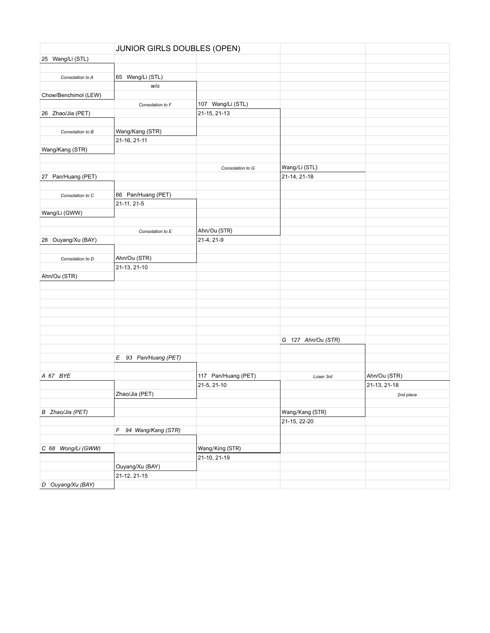|                      | JUNIOR GIRLS DOUBLES (OPEN)     |                     |                    |              |
|----------------------|---------------------------------|---------------------|--------------------|--------------|
| 25 Wang/Li (STL)     |                                 |                     |                    |              |
|                      |                                 |                     |                    |              |
| Consolation to A     | 65 Wang/Li (STL)                |                     |                    |              |
|                      | w/o                             |                     |                    |              |
| Chow/Benchimol (LEW) |                                 |                     |                    |              |
|                      | Consolation to F                | 107 Wang/Li (STL)   |                    |              |
| 26 Zhao/Jia (PET)    |                                 | 21-15, 21-13        |                    |              |
|                      |                                 |                     |                    |              |
| Consolation to B     | Wang/Kang (STR)                 |                     |                    |              |
|                      | 21-16, 21-11                    |                     |                    |              |
| Wang/Kang (STR)      |                                 |                     |                    |              |
|                      |                                 |                     |                    |              |
|                      |                                 | Consolation to G    | Wang/Li (STL)      |              |
| 27 Pan/Huang (PET)   |                                 |                     | 21-14, 21-18       |              |
|                      |                                 |                     |                    |              |
| Consolation to C     | 66 Pan/Huang (PET)              |                     |                    |              |
|                      | 21-11, 21-5                     |                     |                    |              |
| Wang/Li (GWW)        |                                 |                     |                    |              |
|                      |                                 |                     |                    |              |
|                      | Consolation to E                | Ahn/Ou (STR)        |                    |              |
| 28 Ouyang/Xu (BAY)   |                                 | 21-4, 21-9          |                    |              |
|                      |                                 |                     |                    |              |
| Consolation to D     | Ahn/Ou (STR)                    |                     |                    |              |
|                      | 21-13, 21-10                    |                     |                    |              |
| Ahn/Ou (STR)         |                                 |                     |                    |              |
|                      |                                 |                     |                    |              |
|                      |                                 |                     |                    |              |
|                      |                                 |                     |                    |              |
|                      |                                 |                     |                    |              |
|                      |                                 |                     |                    |              |
|                      |                                 |                     |                    |              |
|                      |                                 |                     | G 127 Ahn/Ou (STR) |              |
|                      |                                 |                     |                    |              |
|                      | E 93 Pan/Huang (PET)            |                     |                    |              |
|                      |                                 |                     |                    |              |
| A 67 BYE             |                                 | 117 Pan/Huang (PET) | Loser 3rd          | Ahn/Ou (STR) |
|                      |                                 | 21-5, 21-10         |                    | 21-13, 21-18 |
|                      | Zhao/Jia (PET)                  |                     |                    |              |
|                      |                                 |                     |                    | 2nd place    |
| B Zhao/Jia (PET)     |                                 |                     | Wang/Kang (STR)    |              |
|                      |                                 |                     | 21-15, 22-20       |              |
|                      | F 94 Wang/Kang (STR)            |                     |                    |              |
|                      |                                 |                     |                    |              |
| C 68 Wong/Li (GWW)   |                                 | Wang/King (STR)     |                    |              |
|                      |                                 |                     |                    |              |
|                      |                                 | 21-10, 21-19        |                    |              |
|                      | Ouyang/Xu (BAY)<br>21-12, 21-15 |                     |                    |              |
| D Ouyang/Xu (BAY)    |                                 |                     |                    |              |
|                      |                                 |                     |                    |              |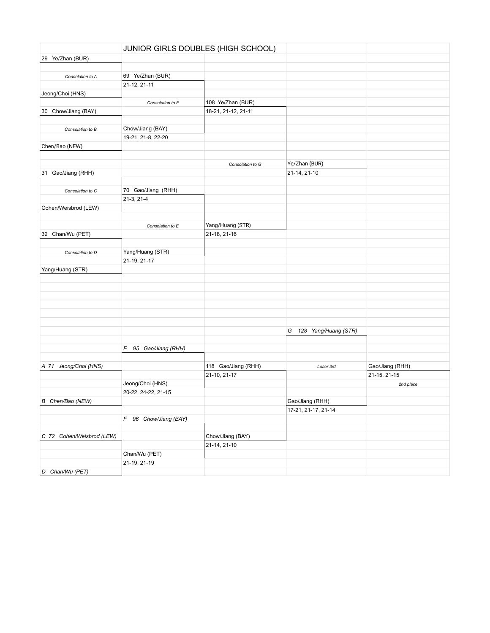| 29 Ye/Zhan (BUR)<br>69 Ye/Zhan (BUR)<br>Consolation to A<br>21-12, 21-11<br>Jeong/Choi (HNS)<br>108 Ye/Zhan (BUR)<br>Consolation to F<br>30 Chow/Jiang (BAY)<br>18-21, 21-12, 21-11<br>Chow/Jiang (BAY)<br>Consolation to B<br>19-21, 21-8, 22-20<br>Chen/Bao (NEW)<br>Ye/Zhan (BUR)<br>Consolation to G<br>21-14, 21-10<br>31 Gao/Jiang (RHH)<br>70 Gao/Jiang (RHH)<br>Consolation to C<br>$21-3, 21-4$<br>Cohen/Weisbrod (LEW)<br>Yang/Huang (STR)<br>Consolation to E<br>32 Chan/Wu (PET)<br>21-18, 21-16<br>Yang/Huang (STR)<br>Consolation to D<br>21-19, 21-17<br>Yang/Huang (STR)<br>128 Yang/Huang (STR)<br>G<br>E 95 Gao/Jiang (RHH)<br>A 71 Jeong/Choi (HNS)<br>118 Gao/Jiang (RHH)<br>Gao/Jiang (RHH)<br>Loser 3rd<br>21-10, 21-17<br>21-15, 21-15<br>Jeong/Choi (HNS)<br>2nd place<br>20-22, 24-22, 21-15<br>Gao/Jiang (RHH)<br>B Chen/Bao (NEW)<br>17-21, 21-17, 21-14<br>F 96 Chow/Jiang (BAY)<br>C 72 Cohen/Weisbrod (LEW)<br>Chow/Jiang (BAY)<br>21-14, 21-10<br>Chan/Wu (PET)<br>21-19, 21-19 |                 | JUNIOR GIRLS DOUBLES (HIGH SCHOOL) |  |
|----------------------------------------------------------------------------------------------------------------------------------------------------------------------------------------------------------------------------------------------------------------------------------------------------------------------------------------------------------------------------------------------------------------------------------------------------------------------------------------------------------------------------------------------------------------------------------------------------------------------------------------------------------------------------------------------------------------------------------------------------------------------------------------------------------------------------------------------------------------------------------------------------------------------------------------------------------------------------------------------------------------|-----------------|------------------------------------|--|
|                                                                                                                                                                                                                                                                                                                                                                                                                                                                                                                                                                                                                                                                                                                                                                                                                                                                                                                                                                                                                |                 |                                    |  |
|                                                                                                                                                                                                                                                                                                                                                                                                                                                                                                                                                                                                                                                                                                                                                                                                                                                                                                                                                                                                                |                 |                                    |  |
|                                                                                                                                                                                                                                                                                                                                                                                                                                                                                                                                                                                                                                                                                                                                                                                                                                                                                                                                                                                                                |                 |                                    |  |
|                                                                                                                                                                                                                                                                                                                                                                                                                                                                                                                                                                                                                                                                                                                                                                                                                                                                                                                                                                                                                |                 |                                    |  |
|                                                                                                                                                                                                                                                                                                                                                                                                                                                                                                                                                                                                                                                                                                                                                                                                                                                                                                                                                                                                                |                 |                                    |  |
|                                                                                                                                                                                                                                                                                                                                                                                                                                                                                                                                                                                                                                                                                                                                                                                                                                                                                                                                                                                                                |                 |                                    |  |
|                                                                                                                                                                                                                                                                                                                                                                                                                                                                                                                                                                                                                                                                                                                                                                                                                                                                                                                                                                                                                |                 |                                    |  |
|                                                                                                                                                                                                                                                                                                                                                                                                                                                                                                                                                                                                                                                                                                                                                                                                                                                                                                                                                                                                                |                 |                                    |  |
|                                                                                                                                                                                                                                                                                                                                                                                                                                                                                                                                                                                                                                                                                                                                                                                                                                                                                                                                                                                                                |                 |                                    |  |
|                                                                                                                                                                                                                                                                                                                                                                                                                                                                                                                                                                                                                                                                                                                                                                                                                                                                                                                                                                                                                |                 |                                    |  |
|                                                                                                                                                                                                                                                                                                                                                                                                                                                                                                                                                                                                                                                                                                                                                                                                                                                                                                                                                                                                                |                 |                                    |  |
|                                                                                                                                                                                                                                                                                                                                                                                                                                                                                                                                                                                                                                                                                                                                                                                                                                                                                                                                                                                                                |                 |                                    |  |
|                                                                                                                                                                                                                                                                                                                                                                                                                                                                                                                                                                                                                                                                                                                                                                                                                                                                                                                                                                                                                |                 |                                    |  |
|                                                                                                                                                                                                                                                                                                                                                                                                                                                                                                                                                                                                                                                                                                                                                                                                                                                                                                                                                                                                                |                 |                                    |  |
|                                                                                                                                                                                                                                                                                                                                                                                                                                                                                                                                                                                                                                                                                                                                                                                                                                                                                                                                                                                                                |                 |                                    |  |
|                                                                                                                                                                                                                                                                                                                                                                                                                                                                                                                                                                                                                                                                                                                                                                                                                                                                                                                                                                                                                |                 |                                    |  |
|                                                                                                                                                                                                                                                                                                                                                                                                                                                                                                                                                                                                                                                                                                                                                                                                                                                                                                                                                                                                                |                 |                                    |  |
|                                                                                                                                                                                                                                                                                                                                                                                                                                                                                                                                                                                                                                                                                                                                                                                                                                                                                                                                                                                                                |                 |                                    |  |
|                                                                                                                                                                                                                                                                                                                                                                                                                                                                                                                                                                                                                                                                                                                                                                                                                                                                                                                                                                                                                |                 |                                    |  |
|                                                                                                                                                                                                                                                                                                                                                                                                                                                                                                                                                                                                                                                                                                                                                                                                                                                                                                                                                                                                                |                 |                                    |  |
|                                                                                                                                                                                                                                                                                                                                                                                                                                                                                                                                                                                                                                                                                                                                                                                                                                                                                                                                                                                                                |                 |                                    |  |
|                                                                                                                                                                                                                                                                                                                                                                                                                                                                                                                                                                                                                                                                                                                                                                                                                                                                                                                                                                                                                |                 |                                    |  |
|                                                                                                                                                                                                                                                                                                                                                                                                                                                                                                                                                                                                                                                                                                                                                                                                                                                                                                                                                                                                                |                 |                                    |  |
|                                                                                                                                                                                                                                                                                                                                                                                                                                                                                                                                                                                                                                                                                                                                                                                                                                                                                                                                                                                                                |                 |                                    |  |
|                                                                                                                                                                                                                                                                                                                                                                                                                                                                                                                                                                                                                                                                                                                                                                                                                                                                                                                                                                                                                |                 |                                    |  |
|                                                                                                                                                                                                                                                                                                                                                                                                                                                                                                                                                                                                                                                                                                                                                                                                                                                                                                                                                                                                                |                 |                                    |  |
|                                                                                                                                                                                                                                                                                                                                                                                                                                                                                                                                                                                                                                                                                                                                                                                                                                                                                                                                                                                                                |                 |                                    |  |
|                                                                                                                                                                                                                                                                                                                                                                                                                                                                                                                                                                                                                                                                                                                                                                                                                                                                                                                                                                                                                |                 |                                    |  |
|                                                                                                                                                                                                                                                                                                                                                                                                                                                                                                                                                                                                                                                                                                                                                                                                                                                                                                                                                                                                                |                 |                                    |  |
|                                                                                                                                                                                                                                                                                                                                                                                                                                                                                                                                                                                                                                                                                                                                                                                                                                                                                                                                                                                                                |                 |                                    |  |
|                                                                                                                                                                                                                                                                                                                                                                                                                                                                                                                                                                                                                                                                                                                                                                                                                                                                                                                                                                                                                |                 |                                    |  |
|                                                                                                                                                                                                                                                                                                                                                                                                                                                                                                                                                                                                                                                                                                                                                                                                                                                                                                                                                                                                                |                 |                                    |  |
|                                                                                                                                                                                                                                                                                                                                                                                                                                                                                                                                                                                                                                                                                                                                                                                                                                                                                                                                                                                                                |                 |                                    |  |
|                                                                                                                                                                                                                                                                                                                                                                                                                                                                                                                                                                                                                                                                                                                                                                                                                                                                                                                                                                                                                |                 |                                    |  |
|                                                                                                                                                                                                                                                                                                                                                                                                                                                                                                                                                                                                                                                                                                                                                                                                                                                                                                                                                                                                                |                 |                                    |  |
|                                                                                                                                                                                                                                                                                                                                                                                                                                                                                                                                                                                                                                                                                                                                                                                                                                                                                                                                                                                                                |                 |                                    |  |
|                                                                                                                                                                                                                                                                                                                                                                                                                                                                                                                                                                                                                                                                                                                                                                                                                                                                                                                                                                                                                |                 |                                    |  |
|                                                                                                                                                                                                                                                                                                                                                                                                                                                                                                                                                                                                                                                                                                                                                                                                                                                                                                                                                                                                                |                 |                                    |  |
|                                                                                                                                                                                                                                                                                                                                                                                                                                                                                                                                                                                                                                                                                                                                                                                                                                                                                                                                                                                                                |                 |                                    |  |
|                                                                                                                                                                                                                                                                                                                                                                                                                                                                                                                                                                                                                                                                                                                                                                                                                                                                                                                                                                                                                |                 |                                    |  |
|                                                                                                                                                                                                                                                                                                                                                                                                                                                                                                                                                                                                                                                                                                                                                                                                                                                                                                                                                                                                                |                 |                                    |  |
|                                                                                                                                                                                                                                                                                                                                                                                                                                                                                                                                                                                                                                                                                                                                                                                                                                                                                                                                                                                                                |                 |                                    |  |
|                                                                                                                                                                                                                                                                                                                                                                                                                                                                                                                                                                                                                                                                                                                                                                                                                                                                                                                                                                                                                |                 |                                    |  |
|                                                                                                                                                                                                                                                                                                                                                                                                                                                                                                                                                                                                                                                                                                                                                                                                                                                                                                                                                                                                                |                 |                                    |  |
|                                                                                                                                                                                                                                                                                                                                                                                                                                                                                                                                                                                                                                                                                                                                                                                                                                                                                                                                                                                                                |                 |                                    |  |
|                                                                                                                                                                                                                                                                                                                                                                                                                                                                                                                                                                                                                                                                                                                                                                                                                                                                                                                                                                                                                |                 |                                    |  |
|                                                                                                                                                                                                                                                                                                                                                                                                                                                                                                                                                                                                                                                                                                                                                                                                                                                                                                                                                                                                                |                 |                                    |  |
|                                                                                                                                                                                                                                                                                                                                                                                                                                                                                                                                                                                                                                                                                                                                                                                                                                                                                                                                                                                                                |                 |                                    |  |
|                                                                                                                                                                                                                                                                                                                                                                                                                                                                                                                                                                                                                                                                                                                                                                                                                                                                                                                                                                                                                | D Chan/Wu (PET) |                                    |  |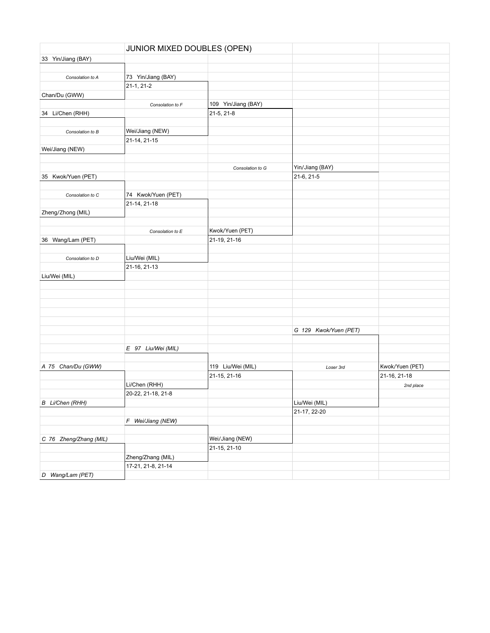|                        | JUNIOR MIXED DOUBLES (OPEN) |                     |                       |                 |
|------------------------|-----------------------------|---------------------|-----------------------|-----------------|
| 33 Yin/Jiang (BAY)     |                             |                     |                       |                 |
|                        |                             |                     |                       |                 |
| Consolation to A       | 73 Yin/Jiang (BAY)          |                     |                       |                 |
|                        | $21-1, 21-2$                |                     |                       |                 |
| Chan/Du (GWW)          |                             |                     |                       |                 |
|                        | Consolation to F            | 109 Yin/Jiang (BAY) |                       |                 |
| 34 Li/Chen (RHH)       |                             | 21-5, 21-8          |                       |                 |
|                        |                             |                     |                       |                 |
| Consolation to B       | Wei/Jiang (NEW)             |                     |                       |                 |
|                        | 21-14, 21-15                |                     |                       |                 |
| Wei/Jiang (NEW)        |                             |                     |                       |                 |
|                        |                             |                     |                       |                 |
|                        |                             | Consolation to G    | Yin/Jiang (BAY)       |                 |
| 35 Kwok/Yuen (PET)     |                             |                     | 21-6, 21-5            |                 |
|                        |                             |                     |                       |                 |
| Consolation to C       | 74 Kwok/Yuen (PET)          |                     |                       |                 |
|                        | 21-14, 21-18                |                     |                       |                 |
| Zheng/Zhong (MIL)      |                             |                     |                       |                 |
|                        |                             |                     |                       |                 |
|                        | Consolation to E            | Kwok/Yuen (PET)     |                       |                 |
| 36 Wang/Lam (PET)      |                             | 21-19, 21-16        |                       |                 |
|                        |                             |                     |                       |                 |
| Consolation to D       | Liu/Wei (MIL)               |                     |                       |                 |
|                        | 21-16, 21-13                |                     |                       |                 |
| Liu/Wei (MIL)          |                             |                     |                       |                 |
|                        |                             |                     |                       |                 |
|                        |                             |                     |                       |                 |
|                        |                             |                     |                       |                 |
|                        |                             |                     |                       |                 |
|                        |                             |                     |                       |                 |
|                        |                             |                     | G 129 Kwok/Yuen (PET) |                 |
|                        |                             |                     |                       |                 |
|                        | E 97 Liu/Wei (MIL)          |                     |                       |                 |
|                        |                             |                     |                       |                 |
| A 75 Chan/Du (GWW)     |                             | 119 Liu/Wei (MIL)   | Loser 3rd             | Kwok/Yuen (PET) |
|                        |                             | 21-15, 21-16        |                       | 21-16, 21-18    |
|                        | Li/Chen (RHH)               |                     |                       | 2nd place       |
|                        | 20-22, 21-18, 21-8          |                     |                       |                 |
| B Li/Chen (RHH)        |                             |                     | Liu/Wei (MIL)         |                 |
|                        |                             |                     | 21-17, 22-20          |                 |
|                        | F Wei/Jiang (NEW)           |                     |                       |                 |
|                        |                             |                     |                       |                 |
| C 76 Zheng/Zhang (MIL) |                             | Wei/Jiang (NEW)     |                       |                 |
|                        |                             | 21-15, 21-10        |                       |                 |
|                        | Zheng/Zhang (MIL)           |                     |                       |                 |
|                        | 17-21, 21-8, 21-14          |                     |                       |                 |
| D Wang/Lam (PET)       |                             |                     |                       |                 |